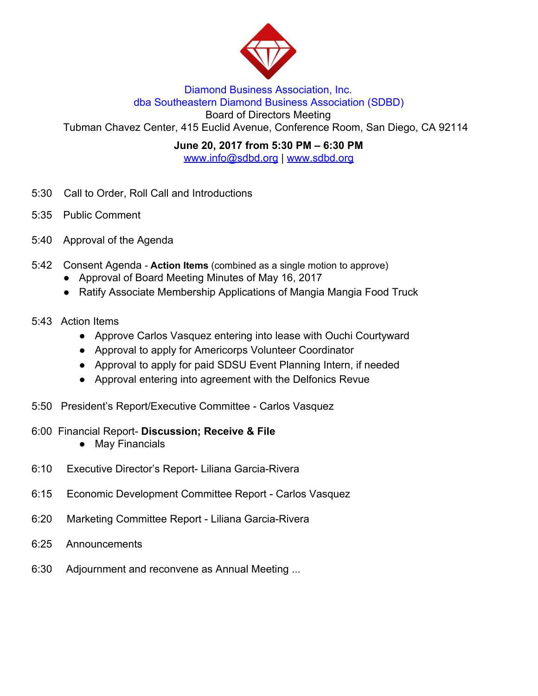

#### Diamond Business Association, Inc. dba Southeastern Diamond Business Association (SDBD)

Board of Directors Meeting

Tubman Chavez Center, 415 Euclid Avenue, Conference Room, San Diego, CA 92114

**June 20, 2017 from 5:30 PM – 6:30 PM**

www.info@sdbd.org | [www.sdbd.org](http://www.sdbd.org/)

- 5:30 Call to Order, Roll Call and Introductions
- 5:35 Public Comment
- 5:40 Approval of the Agenda
- 5:42 Consent Agenda **Action Items** (combined as a single motion to approve)
	- Approval of Board Meeting Minutes of May 16, 2017
	- Ratify Associate Membership Applications of Mangia Mangia Food Truck
- 5:43 Action Items
	- Approve Carlos Vasquez entering into lease with Ouchi Courtyward
	- Approval to apply for Americorps Volunteer Coordinator
	- Approval to apply for paid SDSU Event Planning Intern, if needed
	- Approval entering into agreement with the Delfonics Revue
- 5:50 President's Report/Executive Committee Carlos Vasquez
- 6:00 Financial Report- **Discussion; Receive & File**
	- **●** May Financials
- 6:10 Executive Director's Report- Liliana Garcia-Rivera
- 6:15 Economic Development Committee Report Carlos Vasquez
- 6:20 Marketing Committee Report Liliana Garcia-Rivera
- 6:25 Announcements
- 6:30 Adjournment and reconvene as Annual Meeting ...